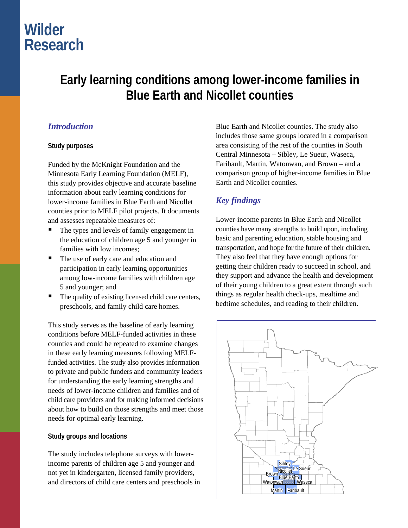# **Wilder Research**

## **Early learning conditions among lower-income families in Blue Earth and Nicollet counties**

### *Introduction*

#### **Study purposes**

Funded by the McKnight Foundation and the Minnesota Early Learning Foundation (MELF), this study provides objective and accurate baseline information about early learning conditions for lower-income families in Blue Earth and Nicollet counties prior to MELF pilot projects. It documents and assesses repeatable measures of:

- The types and levels of family engagement in the education of children age 5 and younger in families with low incomes;
- The use of early care and education and participation in early learning opportunities among low-income families with children age 5 and younger; and
- The quality of existing licensed child care centers, preschools, and family child care homes.

This study serves as the baseline of early learning conditions before MELF-funded activities in these counties and could be repeated to examine changes in these early learning measures following MELFfunded activities. The study also provides information to private and public funders and community leaders for understanding the early learning strengths and needs of lower-income children and families and of child care providers and for making informed decisions about how to build on those strengths and meet those needs for optimal early learning.

#### **Study groups and locations**

The study includes telephone surveys with lowerincome parents of children age 5 and younger and not yet in kindergarten, licensed family providers, and directors of child care centers and preschools in

Blue Earth and Nicollet counties. The study also includes those same groups located in a comparison area consisting of the rest of the counties in South Central Minnesota – Sibley, Le Sueur, Waseca, Faribault, Martin, Watonwan, and Brown – and a comparison group of higher-income families in Blue Earth and Nicollet counties.

### *Key findings*

Lower-income parents in Blue Earth and Nicollet counties have many strengths to build upon, including basic and parenting education, stable housing and transportation, and hope for the future of their children. They also feel that they have enough options for getting their children ready to succeed in school, and they support and advance the health and development of their young children to a great extent through such things as regular health check-ups, mealtime and bedtime schedules, and reading to their children.

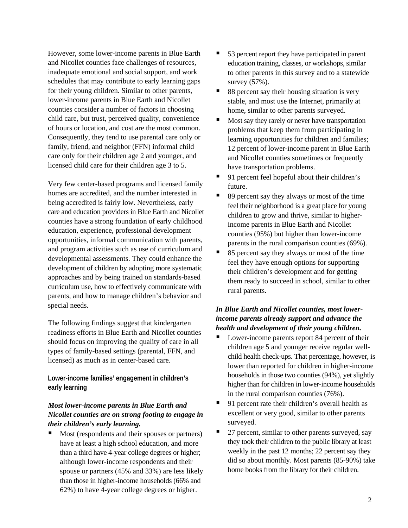However, some lower-income parents in Blue Earth and Nicollet counties face challenges of resources, inadequate emotional and social support, and work schedules that may contribute to early learning gaps for their young children. Similar to other parents, lower-income parents in Blue Earth and Nicollet counties consider a number of factors in choosing child care, but trust, perceived quality, convenience of hours or location, and cost are the most common. Consequently, they tend to use parental care only or family, friend, and neighbor (FFN) informal child care only for their children age 2 and younger, and licensed child care for their children age 3 to 5.

Very few center-based programs and licensed family homes are accredited, and the number interested in being accredited is fairly low. Nevertheless, early care and education providers in Blue Earth and Nicollet counties have a strong foundation of early childhood education, experience, professional development opportunities, informal communication with parents, and program activities such as use of curriculum and developmental assessments. They could enhance the development of children by adopting more systematic approaches and by being trained on standards-based curriculum use, how to effectively communicate with parents, and how to manage children's behavior and special needs.

The following findings suggest that kindergarten readiness efforts in Blue Earth and Nicollet counties should focus on improving the quality of care in all types of family-based settings (parental, FFN, and licensed) as much as in center-based care.

**Lower-income families' engagement in children's early learning** 

#### *Most lower-income parents in Blue Earth and Nicollet counties are on strong footing to engage in their children's early learning.*

 Most (respondents and their spouses or partners) have at least a high school education, and more than a third have 4-year college degrees or higher; although lower-income respondents and their spouse or partners (45% and 33%) are less likely than those in higher-income households (66% and 62%) to have 4-year college degrees or higher.

- 53 percent report they have participated in parent education training, classes, or workshops, similar to other parents in this survey and to a statewide survey (57%).
- 88 percent say their housing situation is very stable, and most use the Internet, primarily at home, similar to other parents surveyed.
- Most say they rarely or never have transportation problems that keep them from participating in learning opportunities for children and families; 12 percent of lower-income parent in Blue Earth and Nicollet counties sometimes or frequently have transportation problems.
- 91 percent feel hopeful about their children's future.
- 89 percent say they always or most of the time feel their neighborhood is a great place for young children to grow and thrive, similar to higherincome parents in Blue Earth and Nicollet counties (95%) but higher than lower-income parents in the rural comparison counties (69%).
- 85 percent say they always or most of the time feel they have enough options for supporting their children's development and for getting them ready to succeed in school, similar to other rural parents.

#### *In Blue Earth and Nicollet counties, most lowerincome parents already support and advance the health and development of their young children.*

- Lower-income parents report 84 percent of their children age 5 and younger receive regular wellchild health check-ups. That percentage, however, is lower than reported for children in higher-income households in those two counties (94%), yet slightly higher than for children in lower-income households in the rural comparison counties (76%).
- 91 percent rate their children's overall health as excellent or very good, similar to other parents surveyed.
- 27 percent, similar to other parents surveyed, say they took their children to the public library at least weekly in the past 12 months; 22 percent say they did so about monthly. Most parents (85-90%) take home books from the library for their children.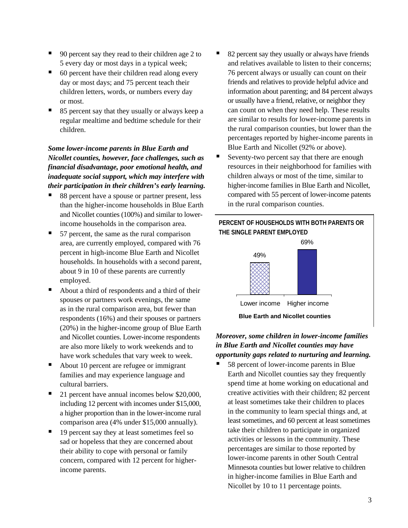- 90 percent say they read to their children age 2 to 5 every day or most days in a typical week;
- $\blacksquare$  60 percent have their children read along every day or most days; and 75 percent teach their children letters, words, or numbers every day or most.
- 85 percent say that they usually or always keep a regular mealtime and bedtime schedule for their children.

#### *Some lower-income parents in Blue Earth and Nicollet counties, however, face challenges, such as financial disadvantage, poor emotional health, and inadequate social support, which may interfere with their participation in their children's early learning.*

- 88 percent have a spouse or partner present, less than the higher-income households in Blue Earth and Nicollet counties (100%) and similar to lowerincome households in the comparison area.
- 57 percent, the same as the rural comparison area, are currently employed, compared with 76 percent in high-income Blue Earth and Nicollet households. In households with a second parent, about 9 in 10 of these parents are currently employed.
- About a third of respondents and a third of their spouses or partners work evenings, the same as in the rural comparison area, but fewer than respondents (16%) and their spouses or partners (20%) in the higher-income group of Blue Earth and Nicollet counties. Lower-income respondents are also more likely to work weekends and to have work schedules that vary week to week.
- About 10 percent are refugee or immigrant families and may experience language and cultural barriers.
- 21 percent have annual incomes below \$20,000, including 12 percent with incomes under \$15,000, a higher proportion than in the lower-income rural comparison area (4% under \$15,000 annually).
- 19 percent say they at least sometimes feel so sad or hopeless that they are concerned about their ability to cope with personal or family concern, compared with 12 percent for higherincome parents.
- 82 percent say they usually or always have friends and relatives available to listen to their concerns; 76 percent always or usually can count on their friends and relatives to provide helpful advice and information about parenting; and 84 percent always or usually have a friend, relative, or neighbor they can count on when they need help. These results are similar to results for lower-income parents in the rural comparison counties, but lower than the percentages reported by higher-income parents in Blue Earth and Nicollet (92% or above).
- Seventy-two percent say that there are enough resources in their neighborhood for families with children always or most of the time, similar to higher-income families in Blue Earth and Nicollet, compared with 55 percent of lower-income patents in the rural comparison counties.



#### *Moreover, some children in lower-income families in Blue Earth and Nicollet counties may have opportunity gaps related to nurturing and learning.*

 58 percent of lower-income parents in Blue Earth and Nicollet counties say they frequently spend time at home working on educational and creative activities with their children; 82 percent at least sometimes take their children to places in the community to learn special things and, at least sometimes, and 60 percent at least sometimes take their children to participate in organized activities or lessons in the community. These percentages are similar to those reported by lower-income parents in other South Central Minnesota counties but lower relative to children in higher-income families in Blue Earth and Nicollet by 10 to 11 percentage points.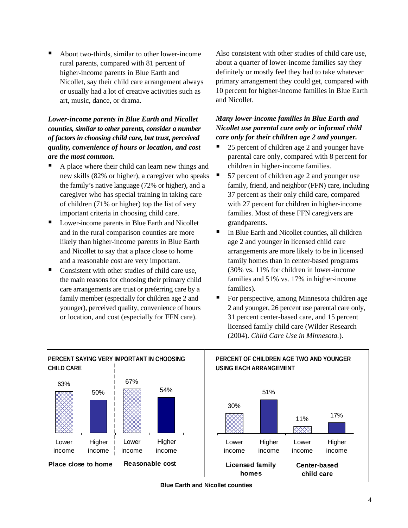About two-thirds, similar to other lower-income rural parents, compared with 81 percent of higher-income parents in Blue Earth and Nicollet, say their child care arrangement always or usually had a lot of creative activities such as art, music, dance, or drama.

#### *Lower-income parents in Blue Earth and Nicollet counties, similar to other parents, consider a number of factors in choosing child care, but trust, perceived quality, convenience of hours or location, and cost are the most common.*

- A place where their child can learn new things and new skills (82% or higher), a caregiver who speaks the family's native language (72% or higher), and a caregiver who has special training in taking care of children (71% or higher) top the list of very important criteria in choosing child care.
- Lower-income parents in Blue Earth and Nicollet and in the rural comparison counties are more likely than higher-income parents in Blue Earth and Nicollet to say that a place close to home and a reasonable cost are very important.
- Consistent with other studies of child care use, the main reasons for choosing their primary child care arrangements are trust or preferring care by a family member (especially for children age 2 and younger), perceived quality, convenience of hours or location, and cost (especially for FFN care).

Also consistent with other studies of child care use, about a quarter of lower-income families say they definitely or mostly feel they had to take whatever primary arrangement they could get, compared with 10 percent for higher-income families in Blue Earth and Nicollet.

#### *Many lower-income families in Blue Earth and Nicollet use parental care only or informal child care only for their children age 2 and younger.*

- 25 percent of children age 2 and younger have parental care only, compared with 8 percent for children in higher-income families.
- 57 percent of children age 2 and younger use family, friend, and neighbor (FFN) care, including 37 percent as their only child care, compared with 27 percent for children in higher-income families. Most of these FFN caregivers are grandparents.
- In Blue Earth and Nicollet counties, all children age 2 and younger in licensed child care arrangements are more likely to be in licensed family homes than in center-based programs (30% vs. 11% for children in lower-income families and 51% vs. 17% in higher-income families).
- For perspective, among Minnesota children age 2 and younger, 26 percent use parental care only, 31 percent center-based care, and 15 percent licensed family child care (Wilder Research (2004). *Child Care Use in Minnesota.*).



**Blue Earth and Nicollet counties**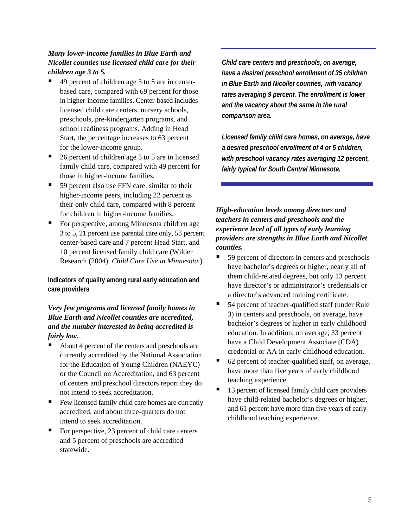#### *Many lower-income families in Blue Earth and Nicollet counties use licensed child care for their children age 3 to 5.*

- 49 percent of children age 3 to 5 are in centerbased care, compared with 69 percent for those in higher-income families. Center-based includes licensed child care centers, nursery schools, preschools, pre-kindergarten programs, and school readiness programs. Adding in Head Start, the percentage increases to 63 percent for the lower-income group.
- 26 percent of children age 3 to 5 are in licensed family child care, compared with 49 percent for those in higher-income families.
- 59 percent also use FFN care, similar to their higher-income peers, including 22 percent as their only child care, compared with 8 percent for children in higher-income families.
- For perspective, among Minnesota children age 3 to 5, 21 percent use parental care only, 53 percent center-based care and 7 percent Head Start, and 10 percent licensed family child care (Wilder Research (2004). *Child Care Use in Minnesota.*).

**Indicators of quality among rural early education and care providers** 

#### *Very few programs and licensed family homes in Blue Earth and Nicollet counties are accredited, and the number interested in being accredited is fairly low.*

- About 4 percent of the centers and preschools are currently accredited by the National Association for the Education of Young Children (NAEYC) or the Council on Accreditation, and 63 percent of centers and preschool directors report they do not intend to seek accreditation.
- Few licensed family child care homes are currently accredited, and about three-quarters do not intend to seek accreditation.
- For perspective, 23 percent of child care centers and 5 percent of preschools are accredited statewide.

*Child care centers and preschools, on average, have a desired preschool enrollment of 35 children in Blue Earth and Nicollet counties, with vacancy rates averaging 9 percent. The enrollment is lower and the vacancy about the same in the rural comparison area.* 

*Licensed family child care homes, on average, have a desired preschool enrollment of 4 or 5 children, with preschool vacancy rates averaging 12 percent, fairly typical for South Central Minnesota.*

*High-education levels among directors and teachers in centers and preschools and the experience level of all types of early learning providers are strengths in Blue Earth and Nicollet counties.* 

- 59 percent of directors in centers and preschools have bachelor's degrees or higher, nearly all of them child-related degrees, but only 13 percent have director's or administrator's credentials or a director's advanced training certificate.
- 54 percent of teacher-qualified staff (under Rule 3) in centers and preschools, on average, have bachelor's degrees or higher in early childhood education. In addition, on average, 33 percent have a Child Development Associate (CDA) credential or AA in early childhood education.
- 62 percent of teacher-qualified staff, on average, have more than five years of early childhood teaching experience.
- 13 percent of licensed family child care providers have child-related bachelor's degrees or higher, and 61 percent have more than five years of early childhood teaching experience.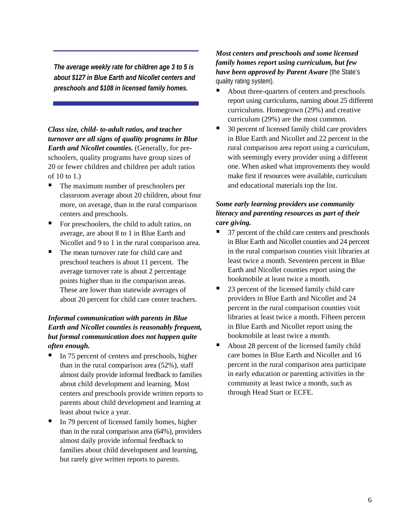*The average weekly rate for children age 3 to 5 is about \$127 in Blue Earth and Nicollet centers and preschools and \$108 in licensed family homes.* 

*Class size, child- to-adult ratios, and teacher turnover are all signs of quality programs in Blue Earth and Nicollet counties.* (Generally, for preschoolers, quality programs have group sizes of 20 or fewer children and children per adult ratios of 10 to 1.)

- The maximum number of preschoolers per classroom average about 20 children, about four more, on average, than in the rural comparison centers and preschools.
- For preschoolers, the child to adult ratios, on average, are about 8 to 1 in Blue Earth and Nicollet and 9 to 1 in the rural comparison area.
- The mean turnover rate for child care and preschool teachers is about 11 percent. The average turnover rate is about 2 percentage points higher than in the comparison areas. These are lower than statewide averages of about 20 percent for child care center teachers.

#### *Informal communication with parents in Blue Earth and Nicollet counties is reasonably frequent, but formal communication does not happen quite often enough.*

- In 75 percent of centers and preschools, higher than in the rural comparison area (52%), staff almost daily provide informal feedback to families about child development and learning. Most centers and preschools provide written reports to parents about child development and learning at least about twice a year.
- In 79 percent of licensed family homes, higher than in the rural comparison area (64%), providers almost daily provide informal feedback to families about child development and learning, but rarely give written reports to parents.

#### *Most centers and preschools and some licensed family homes report using curriculum, but few have been approved by Parent Aware* (the State's quality rating system).

- About three-quarters of centers and preschools report using curriculums, naming about 25 different curriculums. Homegrown (29%) and creative curriculum (29%) are the most common.
- 30 percent of licensed family child care providers in Blue Earth and Nicollet and 22 percent in the rural comparison area report using a curriculum, with seemingly every provider using a different one. When asked what improvements they would make first if resources were available, curriculum and educational materials top the list.

#### *Some early learning providers use community literacy and parenting resources as part of their care giving.*

- 37 percent of the child care centers and preschools in Blue Earth and Nicollet counties and 24 percent in the rural comparison counties visit libraries at least twice a month. Seventeen percent in Blue Earth and Nicollet counties report using the bookmobile at least twice a month.
- 23 percent of the licensed family child care providers in Blue Earth and Nicollet and 24 percent in the rural comparison counties visit libraries at least twice a month. Fifteen percent in Blue Earth and Nicollet report using the bookmobile at least twice a month.
- About 28 percent of the licensed family child care homes in Blue Earth and Nicollet and 16 percent in the rural comparison area participate in early education or parenting activities in the community at least twice a month, such as through Head Start or ECFE.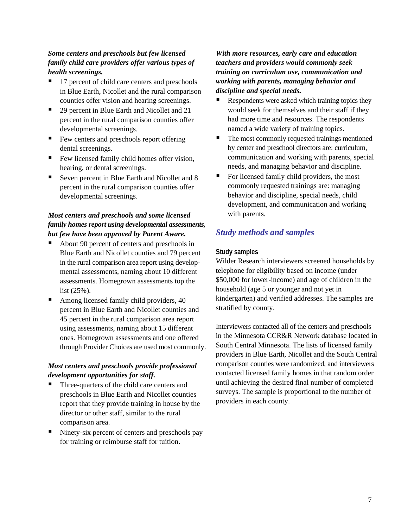#### *Some centers and preschools but few licensed family child care providers offer various types of health screenings.*

- 17 percent of child care centers and preschools in Blue Earth, Nicollet and the rural comparison counties offer vision and hearing screenings.
- 29 percent in Blue Earth and Nicollet and 21 percent in the rural comparison counties offer developmental screenings.
- Few centers and preschools report offering dental screenings.
- Few licensed family child homes offer vision, hearing, or dental screenings.
- Seven percent in Blue Earth and Nicollet and 8 percent in the rural comparison counties offer developmental screenings.

#### *Most centers and preschools and some licensed family homes report using developmental assessments, but few have been approved by Parent Aware.*

- About 90 percent of centers and preschools in Blue Earth and Nicollet counties and 79 percent in the rural comparison area report using developmental assessments, naming about 10 different assessments. Homegrown assessments top the list (25%).
- Among licensed family child providers, 40 percent in Blue Earth and Nicollet counties and 45 percent in the rural comparison area report using assessments, naming about 15 different ones. Homegrown assessments and one offered through Provider Choices are used most commonly.

#### *Most centers and preschools provide professional development opportunities for staff.*

- Three-quarters of the child care centers and preschools in Blue Earth and Nicollet counties report that they provide training in house by the director or other staff, similar to the rural comparison area.
- Ninety-six percent of centers and preschools pay for training or reimburse staff for tuition.

#### *With more resources, early care and education teachers and providers would commonly seek training on curriculum use, communication and working with parents, managing behavior and discipline and special needs.*

- Respondents were asked which training topics they would seek for themselves and their staff if they had more time and resources. The respondents named a wide variety of training topics.
- The most commonly requested trainings mentioned by center and preschool directors are: curriculum, communication and working with parents, special needs, and managing behavior and discipline.
- $\blacksquare$  For licensed family child providers, the most commonly requested trainings are: managing behavior and discipline, special needs, child development, and communication and working with parents.

### *Study methods and samples*

#### **Study samples**

Wilder Research interviewers screened households by telephone for eligibility based on income (under \$50,000 for lower-income) and age of children in the household (age 5 or younger and not yet in kindergarten) and verified addresses. The samples are stratified by county.

Interviewers contacted all of the centers and preschools in the Minnesota CCR&R Network database located in South Central Minnesota. The lists of licensed family providers in Blue Earth, Nicollet and the South Central comparison counties were randomized, and interviewers contacted licensed family homes in that random order until achieving the desired final number of completed surveys. The sample is proportional to the number of providers in each county.